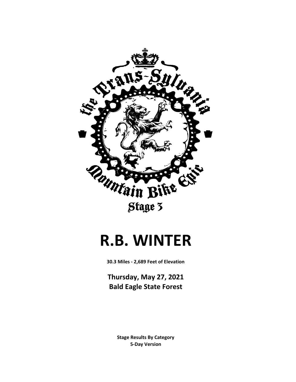

## **R.B. WINTER**

**30.3 Miles - 2,689 Feet of Elevation**

**Thursday, May 27, 2021 Bald Eagle State Forest**

> **5-Day Version Stage Results By Category**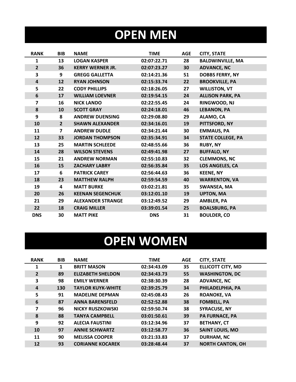# **OPEN MEN**

| <b>RANK</b>             | <b>BIB</b>     | <b>NAME</b>              | <b>TIME</b> | <b>AGE</b> | <b>CITY, STATE</b>       |
|-------------------------|----------------|--------------------------|-------------|------------|--------------------------|
| $\mathbf{1}$            | 13             | <b>LOGAN KASPER</b>      | 02:07:22.71 | 28         | <b>BALDWINVILLE, MA</b>  |
| $\overline{2}$          | 36             | <b>KERRY WERNER JR.</b>  | 02:07:23.27 | 30         | <b>ADVANCE, NC</b>       |
| 3                       | 9              | <b>GREGG GALLETTA</b>    | 02:14:21.36 | 51         | <b>DOBBS FERRY, NY</b>   |
| $\overline{\mathbf{4}}$ | 12             | <b>RYAN JOHNSON</b>      | 02:15:33.74 | 22         | <b>BROOKVILLE, PA</b>    |
| 5                       | 22             | <b>CODY PHILLIPS</b>     | 02:18:26.05 | 27         | <b>WILLISTON, VT</b>     |
| 6                       | 17             | <b>WILLIAM LOEVNER</b>   | 02:19:54.15 | 24         | <b>ALLISON PARK, PA</b>  |
| $\overline{\mathbf{z}}$ | 16             | <b>NICK LANDO</b>        | 02:22:55.45 | 24         | RINGWOOD, NJ             |
| 8                       | 10             | <b>SCOTT GRAY</b>        | 02:24:18.01 | 46         | <b>LEBANON, PA</b>       |
| 9                       | 8              | <b>ANDREW DUENSING</b>   | 02:29:08.80 | 29         | ALAMO, CA                |
| 10                      | $\overline{2}$ | <b>SHAWN ALEXANDER</b>   | 02:34:16.01 | 19         | PITTSFORD, NY            |
| 11                      | $\overline{7}$ | <b>ANDREW DUDLE</b>      | 02:34:21.44 | 30         | <b>EMMAUS, PA</b>        |
| 12                      | 33             | <b>JORDAN THOMPSON</b>   | 02:35:34.91 | 34         | <b>STATE COLLEGE, PA</b> |
| 13                      | 25             | <b>MARTIN SCHLEEDE</b>   | 02:48:55.66 | 36         | <b>RUBY, NY</b>          |
| 14                      | 28             | <b>WILSON STEVENS</b>    | 02:49:41.98 | 27         | <b>BUFFALO, NY</b>       |
| 15                      | 21             | <b>ANDREW NORMAN</b>     | 02:55:10.83 | 32         | <b>CLEMMONS, NC</b>      |
| 16                      | 15             | <b>ZACHARY LABRY</b>     | 02:56:35.84 | 35         | LOS ANGELES, CA          |
| 17                      | 6              | <b>PATRICK CAREY</b>     | 02:56:44.63 | 36         | <b>KEENE, NY</b>         |
| 18                      | 23             | <b>MATTHEW RALPH</b>     | 02:59:54.59 | 40         | <b>WARRENTON, VA</b>     |
| 19                      | 4              | <b>MATT BURKE</b>        | 03:02:21.81 | 35         | <b>SWANSEA, MA</b>       |
| 20                      | 26             | <b>KEENAN SEGENCHUK</b>  | 03:12:01.10 | 19         | <b>UPTON, MA</b>         |
| 21                      | 29             | <b>ALEXANDER STRANGE</b> | 03:12:49.52 | 29         | <b>AMBLER, PA</b>        |
| 22                      | 18             | <b>CRAIG MILLER</b>      | 03:39:01.54 | 25         | <b>BOALSBURG, PA</b>     |
| <b>DNS</b>              | 30             | <b>MATT PIKE</b>         | <b>DNS</b>  | 31         | <b>BOULDER, CO</b>       |

# **OPEN WOMEN**

| <b>RANK</b>             | <b>BIB</b> | <b>NAME</b>              | <b>TIME</b> | <b>AGE</b> | <b>CITY, STATE</b>       |
|-------------------------|------------|--------------------------|-------------|------------|--------------------------|
| 1                       | 1          | <b>BRITT MASON</b>       | 02:34:43.09 | 35         | <b>ELLICOTT CITY, MD</b> |
| $\overline{2}$          | 89         | <b>ELIZABETH SHELDON</b> | 02:34:43.73 | 55         | <b>WASHINGTON, DC</b>    |
| 3                       | 98         | <b>EMILY WERNER</b>      | 02:38:30.39 | 28         | <b>ADVANCE, NC</b>       |
| 4                       | 130        | <b>TAYLOR KUYK-WHITE</b> | 02:39:25.79 | 34         | PHILADELPHIA, PA         |
| 5                       | 91         | <b>MADELINE DEPMAN</b>   | 02:45:08.43 | 26         | <b>ROANOKE, VA</b>       |
| 6                       | 87         | <b>ANNA BARENSFELD</b>   | 02:52:52.88 | 38         | <b>FOMBELL, PA</b>       |
| $\overline{\mathbf{z}}$ | 96         | <b>NICKY RUSZKOWSKI</b>  | 02:59:50.74 | 38         | <b>SYRACUSE, NY</b>      |
| 8                       | 88         | <b>TANYA CAMPBELL</b>    | 03:01:50.61 | 39         | <b>PA FURNACE, PA</b>    |
| 9                       | 92         | <b>ALECIA FAUSTINI</b>   | 03:12:34.96 | 37         | <b>BETHANY, CT</b>       |
| 10                      | 97         | <b>ANNIE SCHWARTZ</b>    | 03:12:58.77 | 36         | <b>SAINT LOUIS, MO</b>   |
| 11                      | 90         | <b>MELISSA COOPER</b>    | 03:21:33.83 | 37         | <b>DURHAM, NC</b>        |
| 12                      | 93         | <b>CORIANNE KOCAREK</b>  | 03:28:48.44 | 37         | <b>NORTH CANTON, OH</b>  |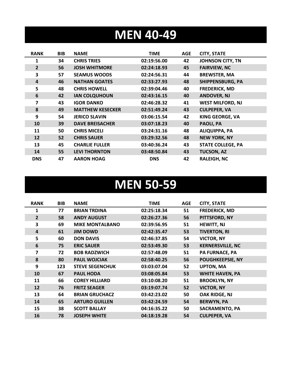## **MEN 40-49**

| <b>RANK</b>    | <b>BIB</b> | <b>NAME</b>             | <b>TIME</b> | AGE | <b>CITY, STATE</b>       |
|----------------|------------|-------------------------|-------------|-----|--------------------------|
| 1              | 34         | <b>CHRIS TRIES</b>      | 02:19:56.00 | 42  | <b>JOHNSON CITY, TN</b>  |
| $\overline{2}$ | 56         | <b>JOSH WHITMORE</b>    | 02:24:18.93 | 45  | <b>FAIRVIEW, NC</b>      |
| 3              | 57         | <b>SEAMUS WOODS</b>     | 02:24:56.31 | 44  | <b>BREWSTER, MA</b>      |
| 4              | 46         | <b>NATHAN GOATES</b>    | 02:33:27.93 | 48  | <b>SHIPPENSBURG, PA</b>  |
| 5              | 48         | <b>CHRIS HOWELL</b>     | 02:39:04.46 | 40  | <b>FREDERICK, MD</b>     |
| 6              | 42         | <b>IAN COLQUHOUN</b>    | 02:43:16.15 | 40  | <b>ANDOVER, NJ</b>       |
| 7              | 43         | <b>IGOR DANKO</b>       | 02:46:28.32 | 41  | <b>WEST MILFORD, NJ</b>  |
| 8              | 49         | <b>MATTHEW KESECKER</b> | 02:51:49.24 | 43  | <b>CULPEPER, VA</b>      |
| 9              | 54         | <b>JERICO SLAVIN</b>    | 03:06:15.54 | 42  | <b>KING GEORGE, VA</b>   |
| 10             | 39         | <b>DAVE BREISACHER</b>  | 03:07:18.23 | 40  | PAOLI, PA                |
| 11             | 50         | <b>CHRIS MICELI</b>     | 03:24:31.16 | 48  | <b>ALIQUIPPA, PA</b>     |
| 12             | 52         | <b>CHRIS SAUER</b>      | 03:29:32.56 | 48  | <b>NEW YORK, NY</b>      |
| 13             | 45         | <b>CHARLIE FULLER</b>   | 03:40:36.24 | 43  | <b>STATE COLLEGE, PA</b> |
| 14             | 55         | <b>LEVI THORNTON</b>    | 03:48:50.84 | 43  | <b>TUCSON, AZ</b>        |
| <b>DNS</b>     | 47         | <b>AARON HOAG</b>       | <b>DNS</b>  | 42  | <b>RALEIGH, NC</b>       |

#### **MEN 50-59**

| <b>RANK</b>    | <b>BIB</b> | <b>NAME</b>            | <b>TIME</b> | <b>AGE</b> | <b>CITY, STATE</b>      |
|----------------|------------|------------------------|-------------|------------|-------------------------|
| 1              | 77         | <b>BRIAN TRDINA</b>    | 02:25:18.34 | 51         | <b>FREDERICK, MD</b>    |
| $\overline{2}$ | 58         | <b>ANDY AUGUST</b>     | 02:26:27.36 | 56         | PITTSFORD, NY           |
| 3              | 69         | <b>MIKE MONTALBANO</b> | 02:39:56.95 | 51         | <b>HEWITT, NJ</b>       |
| $\overline{4}$ | 61         | <b>JIM DOWD</b>        | 02:42:35.47 | 53         | <b>TIVERTON, RI</b>     |
| 5              | 60         | <b>DON DAVIS</b>       | 02:46:37.85 | 54         | <b>VICTOR, NY</b>       |
| 6              | 75         | <b>ERIC SAUER</b>      | 02:53:49.30 | 53         | <b>KERNERSVILLE, NC</b> |
| 7              | 72         | <b>BOB RADZWICH</b>    | 02:57:48.09 | 51         | <b>PA FURNACE, PA</b>   |
| 8              | 80         | <b>PAUL WOJCIAK</b>    | 02:58:40.25 | 56         | <b>POUGHKEEPSIE, NY</b> |
| 9              | 123        | <b>STEVE SEGENCHUK</b> | 03:03:07.04 | 52         | <b>UPTON, MA</b>        |
| 10             | 67         | <b>PAUL HODA</b>       | 03:08:05.84 | 53         | <b>WHITE HAVEN, PA</b>  |
| 11             | 66         | <b>COREY HILLIARD</b>  | 03:10:08.20 | 51         | <b>BROOKLYN, NY</b>     |
| 12             | 76         | <b>FRITZ SEAGER</b>    | 03:19:07.74 | 52         | <b>VICTOR, NY</b>       |
| 13             | 64         | <b>BRIAN GRUCHACZ</b>  | 03:42:23.02 | 50         | OAK RIDGE, NJ           |
| 14             | 65         | <b>ARTURO GUILLEN</b>  | 03:42:24.59 | 54         | <b>BERWYN, PA</b>       |
| 15             | 38         | <b>SCOTT BALLAY</b>    | 04:16:35.22 | 50         | <b>SACRAMENTO, PA</b>   |
| 16             | 78         | <b>JOSEPH WHITE</b>    | 04:18:19.28 | 54         | <b>CULPEPER, VA</b>     |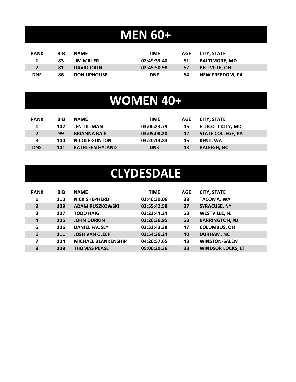## **MEN 60+**

| <b>RANK</b> | BIB | <b>NAME</b>        | <b>TIME</b> | AGE | CITY, STATE            |
|-------------|-----|--------------------|-------------|-----|------------------------|
|             | 83  | <b>JIM MILLER</b>  | 02:49:39.40 | 61  | <b>BALTIMORE, MD</b>   |
|             | 81  | <b>DAVID JOLIN</b> | 02:49:50.98 | 62  | <b>BELLVILLE, OH</b>   |
| <b>DNF</b>  | 86  | <b>DON UPHOUSE</b> | <b>DNF</b>  | 64  | <b>NEW FREEDOM. PA</b> |

## **WOMEN 40+**

| <b>RANK</b> | <b>BIB</b> | <b>NAME</b>            | <b>TIME</b> | AGE | <b>CITY, STATE</b>       |
|-------------|------------|------------------------|-------------|-----|--------------------------|
|             | 102        | <b>JEN TILLMAN</b>     | 03:00:23.79 | 45  | <b>ELLICOTT CITY, MD</b> |
| $2^{\circ}$ | 99         | <b>BRIANNA BAIR</b>    | 03:09:08.20 | 42  | <b>STATE COLLEGE, PA</b> |
| 3           | 100        | <b>NICOLE GUNTON</b>   | 03:20:14.84 | 45  | KENT. WA                 |
| <b>DNS</b>  | 101        | <b>KATHLEEN HYLAND</b> | <b>DNS</b>  | 43  | <b>RALEIGH, NC</b>       |

#### **CLYDESDALE**

| <b>RANK</b>    | <b>BIB</b> | <b>NAME</b>                | TIME        | <b>AGE</b> | <b>CITY, STATE</b>       |
|----------------|------------|----------------------------|-------------|------------|--------------------------|
| 1              | 110        | <b>NICK SHEPHERD</b>       | 02:46:30.06 | 38         | <b>TACOMA, WA</b>        |
| $\overline{2}$ | 109        | <b>ADAM RUSZKOWSKI</b>     | 02:55:42.58 | 37         | <b>SYRACUSE, NY</b>      |
| 3              | 107        | <b>TODD HAIG</b>           | 03:23:44.24 | 53         | <b>WESTVILLE, NJ</b>     |
| $\overline{a}$ | 105        | <b>JOHN DURKIN</b>         | 03:26:36.95 | 53         | <b>BARRINGTON, NJ</b>    |
| 5              | 106        | <b>DANIEL FAUSEY</b>       | 03:32:43.38 | 47         | <b>COLUMBUS, OH</b>      |
| 6              | 111        | <b>JOSH VAN CLEEF</b>      | 03:54:36.24 | 40         | <b>DURHAM, NC</b>        |
| 7              | 104        | <b>MICHAEL BLANKENSHIP</b> | 04:20:57.65 | 43         | <b>WINSTON-SALEM</b>     |
| 8              | 108        | <b>THOMAS PEASE</b>        | 05:00:20.36 | 33         | <b>WINDSOR LOCKS, CT</b> |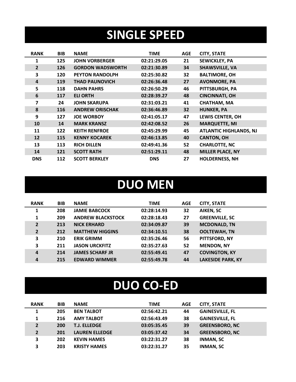## **SINGLE SPEED**

| <b>RANK</b>    | <b>BIB</b> | <b>NAME</b>             | <b>TIME</b> | <b>AGE</b> | <b>CITY, STATE</b>            |
|----------------|------------|-------------------------|-------------|------------|-------------------------------|
| 1              | 125        | <b>JOHN VORBERGER</b>   | 02:21:29.05 | 21         | <b>SEWICKLEY, PA</b>          |
| $\overline{2}$ | 126        | <b>GORDON WADSWORTH</b> | 02:21:30.89 | 34         | <b>SHAWSVILLE, VA</b>         |
| 3              | 120        | <b>PEYTON RANDOLPH</b>  | 02:25:30.82 | 32         | <b>BALTIMORE, OH</b>          |
| 4              | 119        | <b>THAD PAUNOVICH</b>   | 02:26:36.48 | 27         | <b>AVONMORE, PA</b>           |
| 5              | 118        | <b>DAHN PAHRS</b>       | 02:26:50.29 | 46         | PITTSBURGH, PA                |
| 6              | 117        | <b>ELI ORTH</b>         | 02:28:39.27 | 48         | <b>CINCINNATI, OH</b>         |
| 7              | 24         | <b>JOHN SKARUPA</b>     | 02:31:03.21 | 41         | <b>CHATHAM, MA</b>            |
| 8              | <b>116</b> | <b>ANDREW ORISCHAK</b>  | 02:36:46.89 | 32         | <b>HUNKER, PA</b>             |
| 9              | 127        | <b>JOE WORBOY</b>       | 02:41:05.17 | 47         | <b>LEWIS CENTER, OH</b>       |
| 10             | 14         | <b>MARK KRANSZ</b>      | 02:42:08.52 | 26         | <b>MARQUETTE, MI</b>          |
| 11             | 122        | <b>KEITH RENFROE</b>    | 02:45:29.99 | 45         | <b>ATLANTIC HIGHLANDS, NJ</b> |
| 12             | 115        | <b>KENNY KOCAREK</b>    | 02:46:13.85 | 40         | <b>CANTON, OH</b>             |
| 13             | 113        | <b>RICH DILLEN</b>      | 02:49:41.36 | 52         | <b>CHARLOTTE, NC</b>          |
| 14             | 121        | <b>SCOTT RATH</b>       | 02:51:29.11 | 48         | <b>MILLER PLACE, NY</b>       |
| <b>DNS</b>     | 112        | <b>SCOTT BERKLEY</b>    | <b>DNS</b>  | 27         | <b>HOLDERNESS, NH</b>         |

#### **DUO MEN**

| <b>RANK</b>    | <b>BIB</b> | <b>NAME</b>              | <b>TIME</b> | <b>AGE</b> | <b>CITY, STATE</b>       |
|----------------|------------|--------------------------|-------------|------------|--------------------------|
| 1              | 208        | <b>JAMIE BABCOCK</b>     | 02:28:14.93 | 32         | AIKEN, SC                |
| 1              | 209        | <b>ANDREW BLACKSTOCK</b> | 02:28:18.43 | 27         | <b>GREENVILLE, SC</b>    |
| $\overline{2}$ | 213        | <b>NICK ERHARD</b>       | 02:34:09.87 | 39         | <b>MCDONALD, TN</b>      |
| $\overline{2}$ | 212        | <b>MATTHEW HIGGINS</b>   | 02:34:10.51 | 38         | <b>OOLTEWAH, TN</b>      |
| 3              | 210        | <b>ERIK GRIMM</b>        | 02:35:26.46 | 56         | PITTSFORD, NY            |
| 3              | 211        | <b>JASON URCKFITZ</b>    | 02:35:27.63 | 52         | <b>MENDON, NY</b>        |
| $\overline{a}$ | 214        | <b>JAMES SCHARF JR</b>   | 02:55:49.41 | 47         | <b>COVINGTON, KY</b>     |
| 4              | 215        | <b>EDWARD WIMMER</b>     | 02:55:49.78 | 44         | <b>LAKESIDE PARK, KY</b> |

## **DUO CO-ED**

| <b>RANK</b>    | <b>BIB</b> | <b>NAME</b>           | <b>TIME</b> | AGE | <b>CITY, STATE</b>     |
|----------------|------------|-----------------------|-------------|-----|------------------------|
| 1              | 205        | <b>BEN TALBOT</b>     | 02:56:42.21 | 44  | <b>GAINESVILLE, FL</b> |
| 1              | 216        | <b>AMY TALBOT</b>     | 02:56:43.49 | 38  | <b>GAINESVILLE, FL</b> |
| $\overline{2}$ | 200        | <b>T.J. ELLEDGE</b>   | 03:05:35.45 | 39  | <b>GREENSBORO, NC</b>  |
| $\overline{2}$ | 201        | <b>LAUREN ELLEDGE</b> | 03:05:37.42 | 34  | <b>GREENSBORO, NC</b>  |
| 3              | 202        | <b>KEVIN HAMES</b>    | 03:22:31.27 | 38  | <b>INMAN, SC</b>       |
| 3              | 203        | <b>KRISTY HAMES</b>   | 03:22:31.27 | 35  | <b>INMAN, SC</b>       |